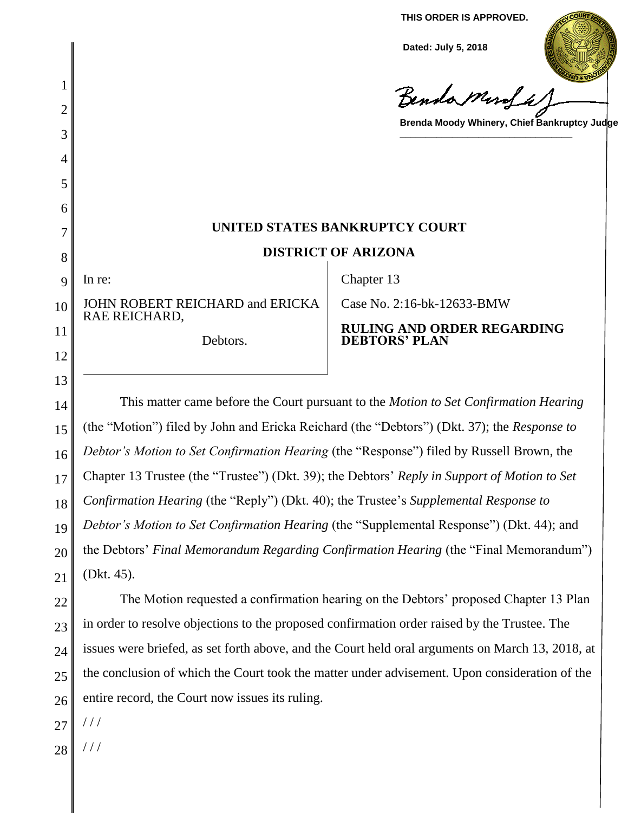**THIS ORDER IS APPROVED.**

**Dated: July 5, 2018**

Benda Monda

**Brenda Moody Whinery, Chief Bankruptcy Judge**

**\_\_\_\_\_\_\_\_\_\_\_\_\_\_\_\_\_\_\_\_\_\_\_\_\_\_\_\_\_\_\_\_\_**

# **UNITED STATES BANKRUPTCY COURT DISTRICT OF ARIZONA**

9 In re:

1

2

3

4

5

6

7

8

10

11

12

13

JOHN ROBERT REICHARD and ERICKA RAE REICHARD,

Debtors.

Chapter 13

Case No. 2:16-bk-12633-BMW

**RULING AND ORDER REGARDING DEBTORS' PLAN**

14 15 16 17 18 19 20 21 This matter came before the Court pursuant to the *Motion to Set Confirmation Hearing*  (the "Motion") filed by John and Ericka Reichard (the "Debtors") (Dkt. 37); the *Response to Debtor's Motion to Set Confirmation Hearing* (the "Response") filed by Russell Brown, the Chapter 13 Trustee (the "Trustee") (Dkt. 39); the Debtors' *Reply in Support of Motion to Set Confirmation Hearing* (the "Reply") (Dkt. 40); the Trustee's *Supplemental Response to Debtor's Motion to Set Confirmation Hearing* (the "Supplemental Response") (Dkt. 44); and the Debtors' *Final Memorandum Regarding Confirmation Hearing* (the "Final Memorandum") (Dkt. 45).

22 23 24 25 26 The Motion requested a confirmation hearing on the Debtors' proposed Chapter 13 Plan in order to resolve objections to the proposed confirmation order raised by the Trustee. The issues were briefed, as set forth above, and the Court held oral arguments on March 13, 2018, at the conclusion of which the Court took the matter under advisement. Upon consideration of the entire record, the Court now issues its ruling.

- 27 / / /
- 28 / / /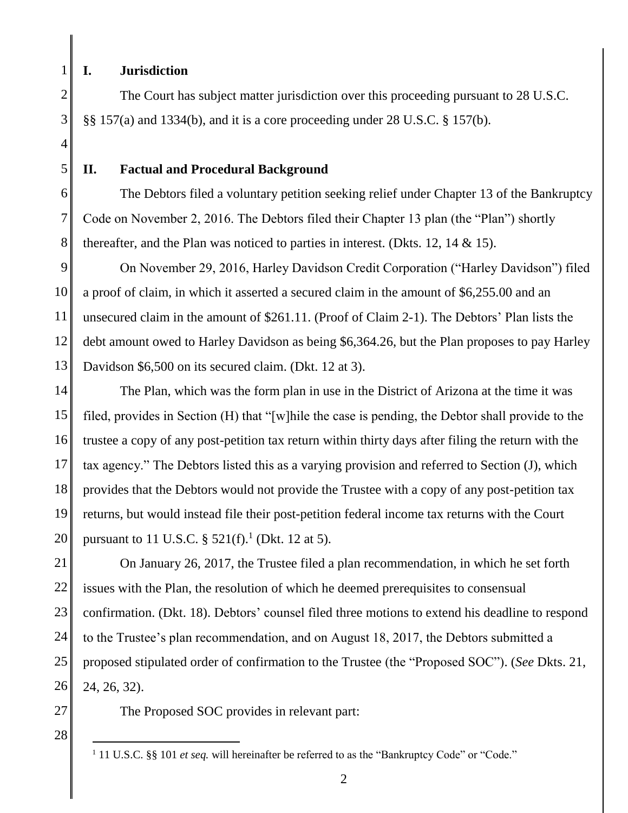## **I. Jurisdiction**

The Court has subject matter jurisdiction over this proceeding pursuant to 28 U.S.C. §§ 157(a) and 1334(b), and it is a core proceeding under 28 U.S.C. § 157(b).

## **II. Factual and Procedural Background**

The Debtors filed a voluntary petition seeking relief under Chapter 13 of the Bankruptcy Code on November 2, 2016. The Debtors filed their Chapter 13 plan (the "Plan") shortly thereafter, and the Plan was noticed to parties in interest. (Dkts. 12, 14  $\&$  15).

10 11 12 13 On November 29, 2016, Harley Davidson Credit Corporation ("Harley Davidson") filed a proof of claim, in which it asserted a secured claim in the amount of \$6,255.00 and an unsecured claim in the amount of \$261.11. (Proof of Claim 2-1). The Debtors' Plan lists the debt amount owed to Harley Davidson as being \$6,364.26, but the Plan proposes to pay Harley Davidson \$6,500 on its secured claim. (Dkt. 12 at 3).

14 15 16 17 18 19 20 The Plan, which was the form plan in use in the District of Arizona at the time it was filed, provides in Section (H) that "[w]hile the case is pending, the Debtor shall provide to the trustee a copy of any post-petition tax return within thirty days after filing the return with the tax agency." The Debtors listed this as a varying provision and referred to Section (J), which provides that the Debtors would not provide the Trustee with a copy of any post-petition tax returns, but would instead file their post-petition federal income tax returns with the Court pursuant to 11 U.S.C.  $\S 521(f).<sup>1</sup>$  (Dkt. 12 at 5).

21 22 23 24 25 26 On January 26, 2017, the Trustee filed a plan recommendation, in which he set forth issues with the Plan, the resolution of which he deemed prerequisites to consensual confirmation. (Dkt. 18). Debtors' counsel filed three motions to extend his deadline to respond to the Trustee's plan recommendation, and on August 18, 2017, the Debtors submitted a proposed stipulated order of confirmation to the Trustee (the "Proposed SOC"). (*See* Dkts. 21, 24, 26, 32).

27

The Proposed SOC provides in relevant part:

28

<sup>&</sup>lt;sup>1</sup> 11 U.S.C. §§ 101 *et seq.* will hereinafter be referred to as the "Bankruptcy Code" or "Code."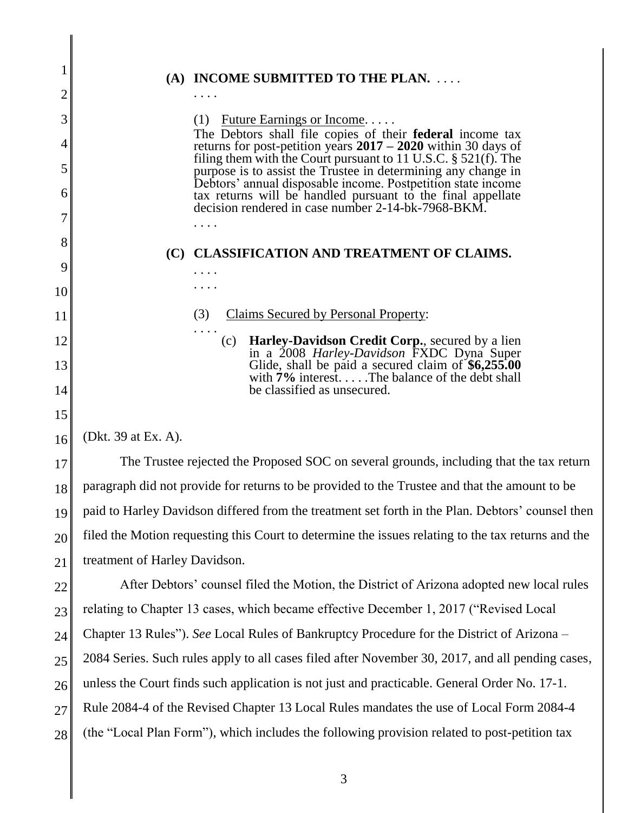| 1  | (A) INCOME SUBMITTED TO THE PLAN.                                                                                                  |
|----|------------------------------------------------------------------------------------------------------------------------------------|
| 2  |                                                                                                                                    |
| 3  | Future Earnings or Income<br>(1)                                                                                                   |
| 4  | The Debtors shall file copies of their federal income tax<br>returns for post-petition years $2017 - 2020$ within 30 days of       |
| 5  | filing them with the Court pursuant to 11 U.S.C. $\S$ 521(f). The<br>purpose is to assist the Trustee in determining any change in |
| 6  | Debtors' annual disposable income. Postpetition state income<br>tax returns will be handled pursuant to the final appellate        |
| 7  | decision rendered in case number 2-14-bk-7968-BKM.                                                                                 |
| 8  |                                                                                                                                    |
| 9  | <b>CLASSIFICATION AND TREATMENT OF CLAIMS.</b><br>(C)                                                                              |
| 10 |                                                                                                                                    |
| 11 | (3)<br><b>Claims Secured by Personal Property:</b>                                                                                 |
| 12 | .<br>Harley-Davidson Credit Corp., secured by a lien<br>(c)                                                                        |
| 13 | in a 2008 <i>Harley-Davidson</i> FXDC Dyna Super<br>Glide, shall be paid a secured claim of \$6,255.00                             |
| 14 | with $7\%$ interestThe balance of the debt shall<br>be classified as unsecured.                                                    |
| 15 |                                                                                                                                    |
| 16 | (Dkt. 39 at Ex. A).                                                                                                                |
| 17 | The Trustee rejected the Proposed SOC on several grounds, including that the tax return                                            |
| 18 | paragraph did not provide for returns to be provided to the Trustee and that the amount to be                                      |
| 19 | paid to Harley Davidson differed from the treatment set forth in the Plan. Debtors' counsel then                                   |
| 20 | filed the Motion requesting this Court to determine the issues relating to the tax returns and the                                 |
| 21 | treatment of Harley Davidson.                                                                                                      |
| 22 | After Debtors' counsel filed the Motion, the District of Arizona adopted new local rules                                           |
| 23 | relating to Chapter 13 cases, which became effective December 1, 2017 ("Revised Local"                                             |
| 24 | Chapter 13 Rules"). See Local Rules of Bankruptcy Procedure for the District of Arizona –                                          |
| 25 | 2084 Series. Such rules apply to all cases filed after November 30, 2017, and all pending cases,                                   |
| 26 | unless the Court finds such application is not just and practicable. General Order No. 17-1.                                       |
| 27 | Rule 2084-4 of the Revised Chapter 13 Local Rules mandates the use of Local Form 2084-4                                            |
| 28 | (the "Local Plan Form"), which includes the following provision related to post-petition tax                                       |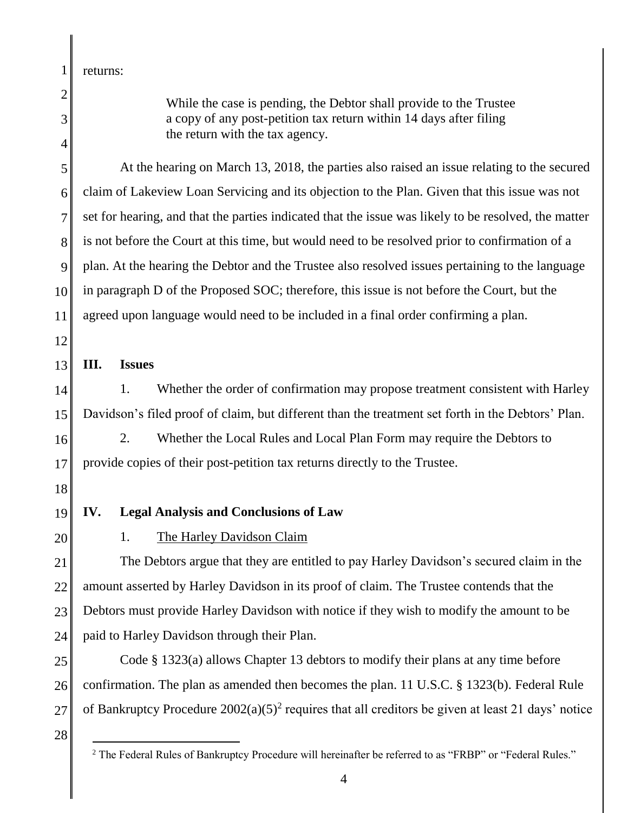returns:

1

2

3

4

While the case is pending, the Debtor shall provide to the Trustee a copy of any post-petition tax return within 14 days after filing the return with the tax agency.

5 6 7 8 9 10 11 At the hearing on March 13, 2018, the parties also raised an issue relating to the secured claim of Lakeview Loan Servicing and its objection to the Plan. Given that this issue was not set for hearing, and that the parties indicated that the issue was likely to be resolved, the matter is not before the Court at this time, but would need to be resolved prior to confirmation of a plan. At the hearing the Debtor and the Trustee also resolved issues pertaining to the language in paragraph D of the Proposed SOC; therefore, this issue is not before the Court, but the agreed upon language would need to be included in a final order confirming a plan.

12

#### 13 **III. Issues**

14 15 1. Whether the order of confirmation may propose treatment consistent with Harley Davidson's filed proof of claim, but different than the treatment set forth in the Debtors' Plan.

16 17 2. Whether the Local Rules and Local Plan Form may require the Debtors to provide copies of their post-petition tax returns directly to the Trustee.

18

#### 19 **IV. Legal Analysis and Conclusions of Law**

20

## 1. The Harley Davidson Claim

21 22 23 24 The Debtors argue that they are entitled to pay Harley Davidson's secured claim in the amount asserted by Harley Davidson in its proof of claim. The Trustee contends that the Debtors must provide Harley Davidson with notice if they wish to modify the amount to be paid to Harley Davidson through their Plan.

25 26 27 Code § 1323(a) allows Chapter 13 debtors to modify their plans at any time before confirmation. The plan as amended then becomes the plan. 11 U.S.C. § 1323(b). Federal Rule of Bankruptcy Procedure  $2002(a)(5)^2$  requires that all creditors be given at least 21 days' notice

28

 $2$  The Federal Rules of Bankruptcy Procedure will hereinafter be referred to as "FRBP" or "Federal Rules."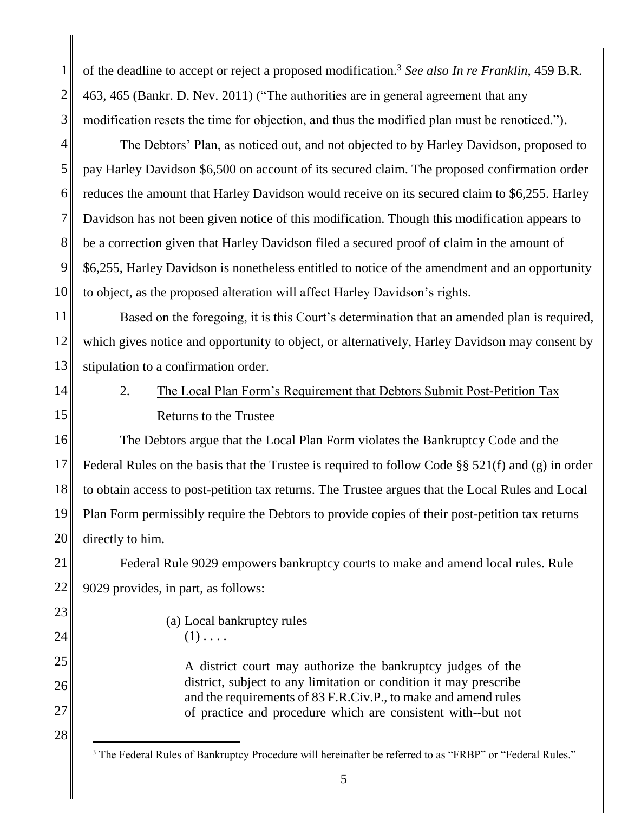1 2 3 of the deadline to accept or reject a proposed modification.<sup>3</sup> *See also In re Franklin*, 459 B.R. 463, 465 (Bankr. D. Nev. 2011) ("The authorities are in general agreement that any modification resets the time for objection, and thus the modified plan must be renoticed.").

4 5 6 7 8 9 10 The Debtors' Plan, as noticed out, and not objected to by Harley Davidson, proposed to pay Harley Davidson \$6,500 on account of its secured claim. The proposed confirmation order reduces the amount that Harley Davidson would receive on its secured claim to \$6,255. Harley Davidson has not been given notice of this modification. Though this modification appears to be a correction given that Harley Davidson filed a secured proof of claim in the amount of \$6,255, Harley Davidson is nonetheless entitled to notice of the amendment and an opportunity to object, as the proposed alteration will affect Harley Davidson's rights.

11 12 13 Based on the foregoing, it is this Court's determination that an amended plan is required, which gives notice and opportunity to object, or alternatively, Harley Davidson may consent by stipulation to a confirmation order.

- 14
- 15

# 2. The Local Plan Form's Requirement that Debtors Submit Post-Petition Tax Returns to the Trustee

16 17 18 19 20 The Debtors argue that the Local Plan Form violates the Bankruptcy Code and the Federal Rules on the basis that the Trustee is required to follow Code §§ 521(f) and (g) in order to obtain access to post-petition tax returns. The Trustee argues that the Local Rules and Local Plan Form permissibly require the Debtors to provide copies of their post-petition tax returns directly to him.

21 22 Federal Rule 9029 empowers bankruptcy courts to make and amend local rules. Rule 9029 provides, in part, as follows:

23

24

25

26

27

28

(a) Local bankruptcy rules  $(1)$ ...

A district court may authorize the bankruptcy judges of the district, subject to any limitation or condition it may prescribe and the requirements of 83 F.R.Civ.P., to make and amend rules of practice and procedure which are consistent with--but not

 <sup>3</sup> The Federal Rules of Bankruptcy Procedure will hereinafter be referred to as "FRBP" or "Federal Rules."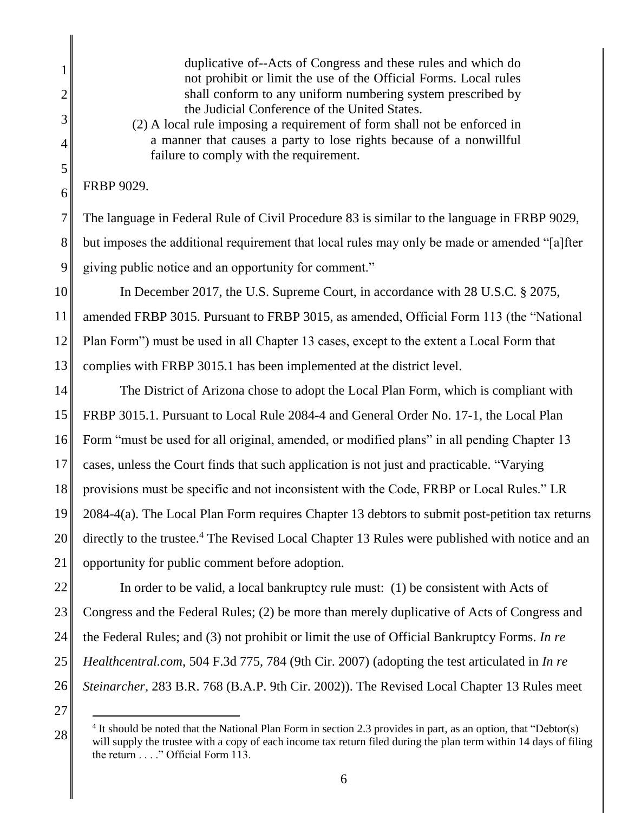duplicative of--Acts of Congress and these rules and which do not prohibit or limit the use of the Official Forms. Local rules shall conform to any uniform numbering system prescribed by the Judicial Conference of the United States. (2) A local rule imposing a requirement of form shall not be enforced in

a manner that causes a party to lose rights because of a nonwillful failure to comply with the requirement.

FRBP 9029.

9 The language in Federal Rule of Civil Procedure 83 is similar to the language in FRBP 9029, but imposes the additional requirement that local rules may only be made or amended "[a]fter giving public notice and an opportunity for comment."

10 11 12 13 In December 2017, the U.S. Supreme Court, in accordance with 28 U.S.C. § 2075, amended FRBP 3015. Pursuant to FRBP 3015, as amended, Official Form 113 (the "National Plan Form") must be used in all Chapter 13 cases, except to the extent a Local Form that complies with FRBP 3015.1 has been implemented at the district level.

14 15 16 17 18 19 20 21 The District of Arizona chose to adopt the Local Plan Form, which is compliant with FRBP 3015.1. Pursuant to Local Rule 2084-4 and General Order No. 17-1, the Local Plan Form "must be used for all original, amended, or modified plans" in all pending Chapter 13 cases, unless the Court finds that such application is not just and practicable. "Varying provisions must be specific and not inconsistent with the Code, FRBP or Local Rules." LR 2084-4(a). The Local Plan Form requires Chapter 13 debtors to submit post-petition tax returns directly to the trustee.<sup>4</sup> The Revised Local Chapter 13 Rules were published with notice and an opportunity for public comment before adoption.

22 23 24 25 26 In order to be valid, a local bankruptcy rule must: (1) be consistent with Acts of Congress and the Federal Rules; (2) be more than merely duplicative of Acts of Congress and the Federal Rules; and (3) not prohibit or limit the use of Official Bankruptcy Forms. *In re Healthcentral.com*, 504 F.3d 775, 784 (9th Cir. 2007) (adopting the test articulated in *In re Steinarcher*, 283 B.R. 768 (B.A.P. 9th Cir. 2002)). The Revised Local Chapter 13 Rules meet

27

 $\overline{a}$ 

<sup>28</sup> <sup>4</sup> It should be noted that the National Plan Form in section 2.3 provides in part, as an option, that "Debtor(s) will supply the trustee with a copy of each income tax return filed during the plan term within 14 days of filing the return . . . ." Official Form 113.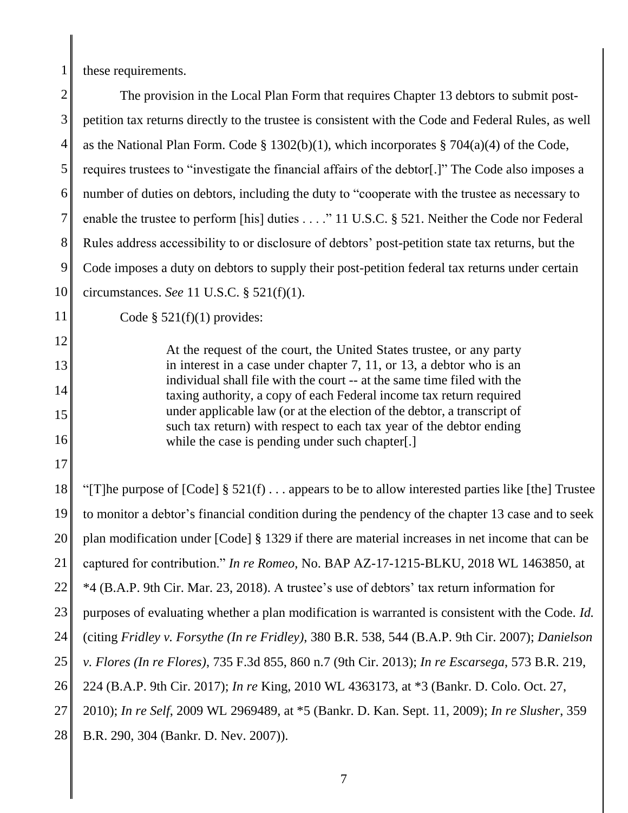1

these requirements.

2 3 4 5 6 7 8 9 10 The provision in the Local Plan Form that requires Chapter 13 debtors to submit postpetition tax returns directly to the trustee is consistent with the Code and Federal Rules, as well as the National Plan Form. Code  $\S 1302(b)(1)$ , which incorporates  $\S 704(a)(4)$  of the Code, requires trustees to "investigate the financial affairs of the debtor[.]" The Code also imposes a number of duties on debtors, including the duty to "cooperate with the trustee as necessary to enable the trustee to perform [his] duties . . . ." 11 U.S.C. § 521. Neither the Code nor Federal Rules address accessibility to or disclosure of debtors' post-petition state tax returns, but the Code imposes a duty on debtors to supply their post-petition federal tax returns under certain circumstances. *See* 11 U.S.C. § 521(f)(1).

11 12

13

14

15

Code  $\S$  521(f)(1) provides:

At the request of the court, the United States trustee, or any party in interest in a case under chapter 7, 11, or 13, a debtor who is an individual shall file with the court -- at the same time filed with the taxing authority, a copy of each Federal income tax return required under applicable law (or at the election of the debtor, a transcript of such tax return) with respect to each tax year of the debtor ending while the case is pending under such chapter[.]

16 17

18 19 20 21 22 23 24 25 26 27 28 "[T]he purpose of  $[Code] \S 521(f) \ldots$  appears to be to allow interested parties like [the] Trustee to monitor a debtor's financial condition during the pendency of the chapter 13 case and to seek plan modification under [Code] § 1329 if there are material increases in net income that can be captured for contribution." *In re Romeo*, No. BAP AZ-17-1215-BLKU, 2018 WL 1463850, at \*4 (B.A.P. 9th Cir. Mar. 23, 2018). A trustee's use of debtors' tax return information for purposes of evaluating whether a plan modification is warranted is consistent with the Code. *Id.* (citing *Fridley v. Forsythe (In re Fridley)*, 380 B.R. 538, 544 (B.A.P. 9th Cir. 2007); *Danielson v. Flores (In re Flores)*, 735 F.3d 855, 860 n.7 (9th Cir. 2013); *In re Escarsega*, 573 B.R. 219, 224 (B.A.P. 9th Cir. 2017); *In re* King, 2010 WL 4363173, at \*3 (Bankr. D. Colo. Oct. 27, 2010); *In re Self*, 2009 WL 2969489, at \*5 (Bankr. D. Kan. Sept. 11, 2009); *In re Slusher*, 359 B.R. 290, 304 (Bankr. D. Nev. 2007)).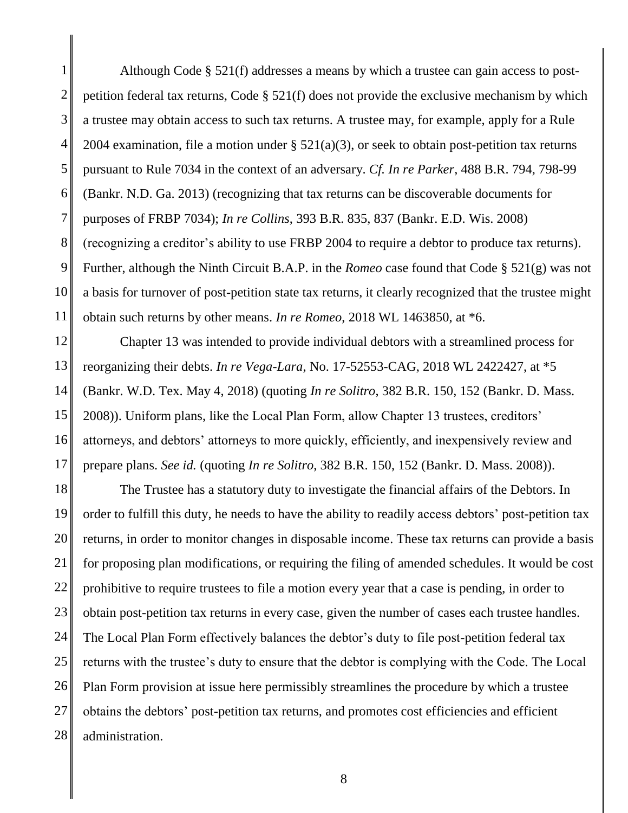1 2 3 4 5 6 7 8 9 10 11 Although Code § 521(f) addresses a means by which a trustee can gain access to postpetition federal tax returns, Code § 521(f) does not provide the exclusive mechanism by which a trustee may obtain access to such tax returns. A trustee may, for example, apply for a Rule 2004 examination, file a motion under  $\S$  521(a)(3), or seek to obtain post-petition tax returns pursuant to Rule 7034 in the context of an adversary. *Cf. In re Parker*, 488 B.R. 794, 798-99 (Bankr. N.D. Ga. 2013) (recognizing that tax returns can be discoverable documents for purposes of FRBP 7034); *In re Collins*, 393 B.R. 835, 837 (Bankr. E.D. Wis. 2008) (recognizing a creditor's ability to use FRBP 2004 to require a debtor to produce tax returns). Further, although the Ninth Circuit B.A.P. in the *Romeo* case found that Code § 521(g) was not a basis for turnover of post-petition state tax returns, it clearly recognized that the trustee might obtain such returns by other means. *In re Romeo*, 2018 WL 1463850, at \*6.

12 13 14 15 16 17 Chapter 13 was intended to provide individual debtors with a streamlined process for reorganizing their debts. *In re Vega-Lara*, No. 17-52553-CAG, 2018 WL 2422427, at \*5 (Bankr. W.D. Tex. May 4, 2018) (quoting *In re Solitro*, 382 B.R. 150, 152 (Bankr. D. Mass. 2008)). Uniform plans, like the Local Plan Form, allow Chapter 13 trustees, creditors' attorneys, and debtors' attorneys to more quickly, efficiently, and inexpensively review and prepare plans. *See id.* (quoting *In re Solitro*, 382 B.R. 150, 152 (Bankr. D. Mass. 2008)).

18 19 20 21 22 23 24 25 26 27 28 The Trustee has a statutory duty to investigate the financial affairs of the Debtors. In order to fulfill this duty, he needs to have the ability to readily access debtors' post-petition tax returns, in order to monitor changes in disposable income. These tax returns can provide a basis for proposing plan modifications, or requiring the filing of amended schedules. It would be cost prohibitive to require trustees to file a motion every year that a case is pending, in order to obtain post-petition tax returns in every case, given the number of cases each trustee handles. The Local Plan Form effectively balances the debtor's duty to file post-petition federal tax returns with the trustee's duty to ensure that the debtor is complying with the Code. The Local Plan Form provision at issue here permissibly streamlines the procedure by which a trustee obtains the debtors' post-petition tax returns, and promotes cost efficiencies and efficient administration.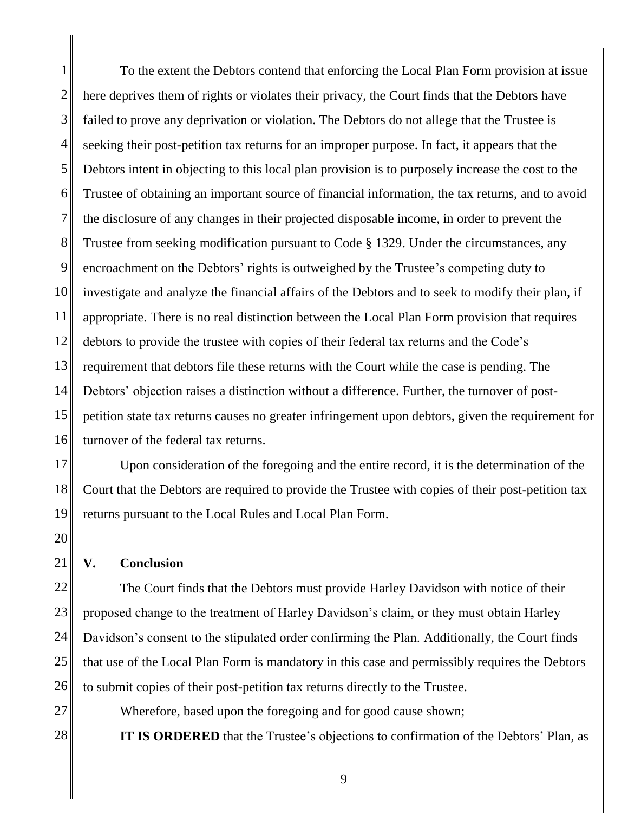1 2 3 4 5 6 7 8 9 10 11 12 13 14 15 16 To the extent the Debtors contend that enforcing the Local Plan Form provision at issue here deprives them of rights or violates their privacy, the Court finds that the Debtors have failed to prove any deprivation or violation. The Debtors do not allege that the Trustee is seeking their post-petition tax returns for an improper purpose. In fact, it appears that the Debtors intent in objecting to this local plan provision is to purposely increase the cost to the Trustee of obtaining an important source of financial information, the tax returns, and to avoid the disclosure of any changes in their projected disposable income, in order to prevent the Trustee from seeking modification pursuant to Code § 1329. Under the circumstances, any encroachment on the Debtors' rights is outweighed by the Trustee's competing duty to investigate and analyze the financial affairs of the Debtors and to seek to modify their plan, if appropriate. There is no real distinction between the Local Plan Form provision that requires debtors to provide the trustee with copies of their federal tax returns and the Code's requirement that debtors file these returns with the Court while the case is pending. The Debtors' objection raises a distinction without a difference. Further, the turnover of postpetition state tax returns causes no greater infringement upon debtors, given the requirement for turnover of the federal tax returns.

17 18 19 Upon consideration of the foregoing and the entire record, it is the determination of the Court that the Debtors are required to provide the Trustee with copies of their post-petition tax returns pursuant to the Local Rules and Local Plan Form.

20

27

28

#### 21 **V. Conclusion**

22 23 24 25 26 The Court finds that the Debtors must provide Harley Davidson with notice of their proposed change to the treatment of Harley Davidson's claim, or they must obtain Harley Davidson's consent to the stipulated order confirming the Plan. Additionally, the Court finds that use of the Local Plan Form is mandatory in this case and permissibly requires the Debtors to submit copies of their post-petition tax returns directly to the Trustee.

Wherefore, based upon the foregoing and for good cause shown;

**IT IS ORDERED** that the Trustee's objections to confirmation of the Debtors' Plan, as